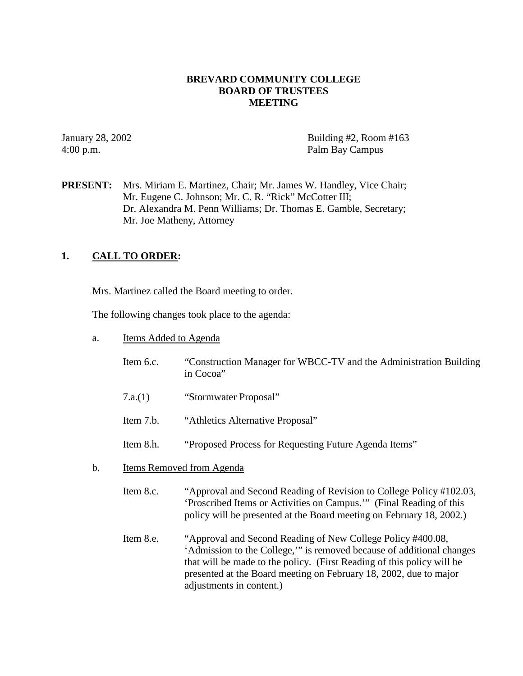### **BREVARD COMMUNITY COLLEGE BOARD OF TRUSTEES MEETING**

January 28, 2002 Building #2, Room #163 4:00 p.m. Palm Bay Campus

**PRESENT:** Mrs. Miriam E. Martinez, Chair; Mr. James W. Handley, Vice Chair; Mr. Eugene C. Johnson; Mr. C. R. "Rick" McCotter III; Dr. Alexandra M. Penn Williams; Dr. Thomas E. Gamble, Secretary; Mr. Joe Matheny, Attorney

### **1. CALL TO ORDER:**

Mrs. Martinez called the Board meeting to order.

The following changes took place to the agenda:

- a. Items Added to Agenda
	- Item 6.c. "Construction Manager for WBCC-TV and the Administration Building in Cocoa"
	- 7.a.(1) "Stormwater Proposal"
	- Item 7.b. "Athletics Alternative Proposal"
	- Item 8.h. "Proposed Process for Requesting Future Agenda Items"
- b. Items Removed from Agenda
	- Item 8.c. "Approval and Second Reading of Revision to College Policy #102.03, 'Proscribed Items or Activities on Campus.'" (Final Reading of this policy will be presented at the Board meeting on February 18, 2002.)
	- Item 8.e. "Approval and Second Reading of New College Policy #400.08, 'Admission to the College,'" is removed because of additional changes that will be made to the policy. (First Reading of this policy will be presented at the Board meeting on February 18, 2002, due to major adjustments in content.)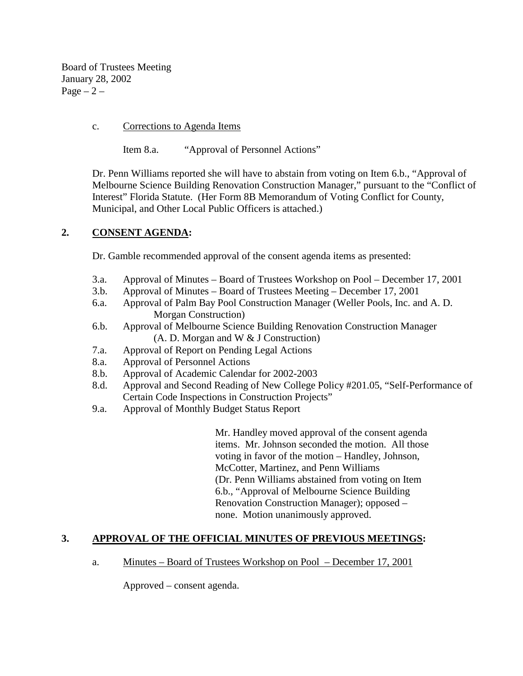Board of Trustees Meeting January 28, 2002  $Page - 2 -$ 

### c. Corrections to Agenda Items

Item 8.a. "Approval of Personnel Actions"

Dr. Penn Williams reported she will have to abstain from voting on Item 6.b., "Approval of Melbourne Science Building Renovation Construction Manager," pursuant to the "Conflict of Interest" Florida Statute. (Her Form 8B Memorandum of Voting Conflict for County, Municipal, and Other Local Public Officers is attached.)

# **2. CONSENT AGENDA:**

Dr. Gamble recommended approval of the consent agenda items as presented:

- 3.a. Approval of Minutes Board of Trustees Workshop on Pool December 17, 2001
- 3.b. Approval of Minutes Board of Trustees Meeting December 17, 2001
- 6.a. Approval of Palm Bay Pool Construction Manager (Weller Pools, Inc. and A. D. Morgan Construction)
- 6.b. Approval of Melbourne Science Building Renovation Construction Manager (A. D. Morgan and W & J Construction)
- 7.a. Approval of Report on Pending Legal Actions
- 8.a. Approval of Personnel Actions
- 8.b. Approval of Academic Calendar for 2002-2003
- 8.d. Approval and Second Reading of New College Policy #201.05, "Self-Performance of Certain Code Inspections in Construction Projects"
- 9.a. Approval of Monthly Budget Status Report

 Mr. Handley moved approval of the consent agenda items. Mr. Johnson seconded the motion. All those voting in favor of the motion – Handley, Johnson, McCotter, Martinez, and Penn Williams (Dr. Penn Williams abstained from voting on Item 6.b., "Approval of Melbourne Science Building Renovation Construction Manager); opposed – none. Motion unanimously approved.

## **3. APPROVAL OF THE OFFICIAL MINUTES OF PREVIOUS MEETINGS:**

a. Minutes – Board of Trustees Workshop on Pool – December 17, 2001

Approved – consent agenda.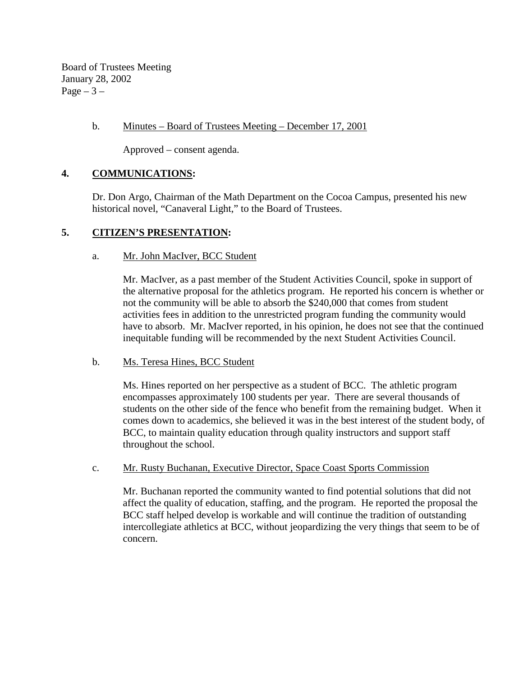Board of Trustees Meeting January 28, 2002 Page  $-3-$ 

### b. Minutes – Board of Trustees Meeting – December 17, 2001

Approved – consent agenda.

## **4. COMMUNICATIONS:**

Dr. Don Argo, Chairman of the Math Department on the Cocoa Campus, presented his new historical novel, "Canaveral Light," to the Board of Trustees.

## **5. CITIZEN'S PRESENTATION:**

### a. Mr. John MacIver, BCC Student

Mr. MacIver, as a past member of the Student Activities Council, spoke in support of the alternative proposal for the athletics program. He reported his concern is whether or not the community will be able to absorb the \$240,000 that comes from student activities fees in addition to the unrestricted program funding the community would have to absorb. Mr. MacIver reported, in his opinion, he does not see that the continued inequitable funding will be recommended by the next Student Activities Council.

## b. Ms. Teresa Hines, BCC Student

Ms. Hines reported on her perspective as a student of BCC. The athletic program encompasses approximately 100 students per year. There are several thousands of students on the other side of the fence who benefit from the remaining budget. When it comes down to academics, she believed it was in the best interest of the student body, of BCC, to maintain quality education through quality instructors and support staff throughout the school.

### c. Mr. Rusty Buchanan, Executive Director, Space Coast Sports Commission

Mr. Buchanan reported the community wanted to find potential solutions that did not affect the quality of education, staffing, and the program. He reported the proposal the BCC staff helped develop is workable and will continue the tradition of outstanding intercollegiate athletics at BCC, without jeopardizing the very things that seem to be of concern.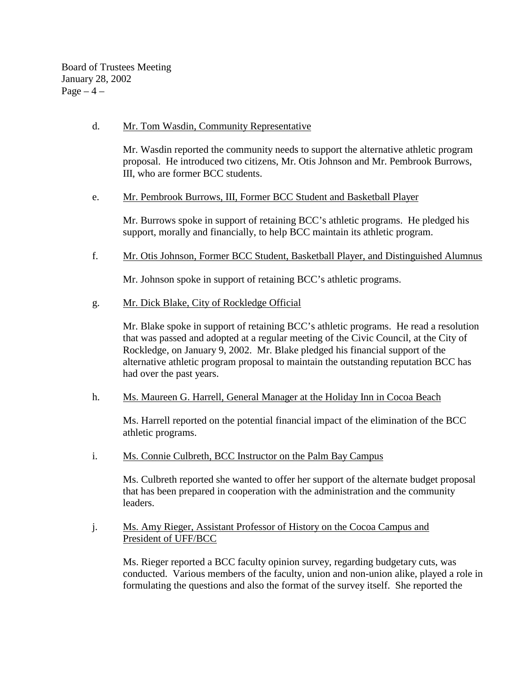Board of Trustees Meeting January 28, 2002  $Page-4$  –

### d. Mr. Tom Wasdin, Community Representative

Mr. Wasdin reported the community needs to support the alternative athletic program proposal. He introduced two citizens, Mr. Otis Johnson and Mr. Pembrook Burrows, III, who are former BCC students.

### e. Mr. Pembrook Burrows, III, Former BCC Student and Basketball Player

Mr. Burrows spoke in support of retaining BCC's athletic programs. He pledged his support, morally and financially, to help BCC maintain its athletic program.

f. Mr. Otis Johnson, Former BCC Student, Basketball Player, and Distinguished Alumnus

Mr. Johnson spoke in support of retaining BCC's athletic programs.

g. Mr. Dick Blake, City of Rockledge Official

Mr. Blake spoke in support of retaining BCC's athletic programs. He read a resolution that was passed and adopted at a regular meeting of the Civic Council, at the City of Rockledge, on January 9, 2002. Mr. Blake pledged his financial support of the alternative athletic program proposal to maintain the outstanding reputation BCC has had over the past years.

h. Ms. Maureen G. Harrell, General Manager at the Holiday Inn in Cocoa Beach

Ms. Harrell reported on the potential financial impact of the elimination of the BCC athletic programs.

i. Ms. Connie Culbreth, BCC Instructor on the Palm Bay Campus

Ms. Culbreth reported she wanted to offer her support of the alternate budget proposal that has been prepared in cooperation with the administration and the community leaders.

### j. Ms. Amy Rieger, Assistant Professor of History on the Cocoa Campus and President of UFF/BCC

Ms. Rieger reported a BCC faculty opinion survey, regarding budgetary cuts, was conducted. Various members of the faculty, union and non-union alike, played a role in formulating the questions and also the format of the survey itself. She reported the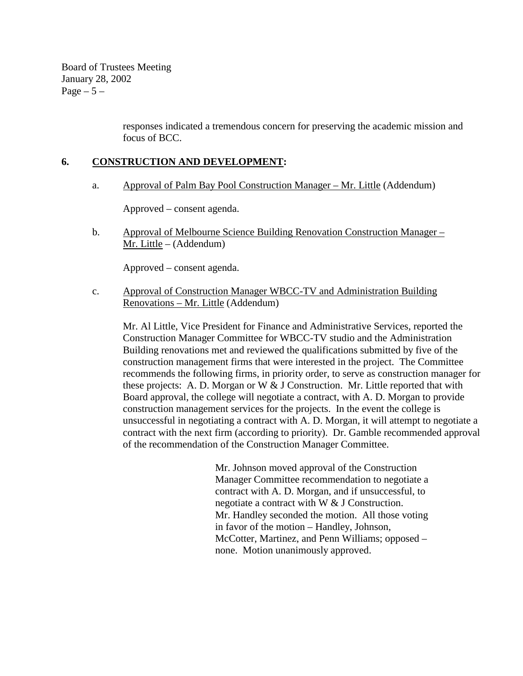Board of Trustees Meeting January 28, 2002 Page  $-5-$ 

> responses indicated a tremendous concern for preserving the academic mission and focus of BCC.

## **6. CONSTRUCTION AND DEVELOPMENT:**

a. Approval of Palm Bay Pool Construction Manager – Mr. Little (Addendum)

Approved – consent agenda.

 b. Approval of Melbourne Science Building Renovation Construction Manager – Mr. Little – (Addendum)

Approved – consent agenda.

c. Approval of Construction Manager WBCC-TV and Administration Building Renovations – Mr. Little (Addendum)

Mr. Al Little, Vice President for Finance and Administrative Services, reported the Construction Manager Committee for WBCC-TV studio and the Administration Building renovations met and reviewed the qualifications submitted by five of the construction management firms that were interested in the project. The Committee recommends the following firms, in priority order, to serve as construction manager for these projects: A. D. Morgan or W & J Construction. Mr. Little reported that with Board approval, the college will negotiate a contract, with A. D. Morgan to provide construction management services for the projects. In the event the college is unsuccessful in negotiating a contract with A. D. Morgan, it will attempt to negotiate a contract with the next firm (according to priority). Dr. Gamble recommended approval of the recommendation of the Construction Manager Committee.

> Mr. Johnson moved approval of the Construction Manager Committee recommendation to negotiate a contract with A. D. Morgan, and if unsuccessful, to negotiate a contract with W & J Construction. Mr. Handley seconded the motion. All those voting in favor of the motion – Handley, Johnson, McCotter, Martinez, and Penn Williams; opposed – none. Motion unanimously approved.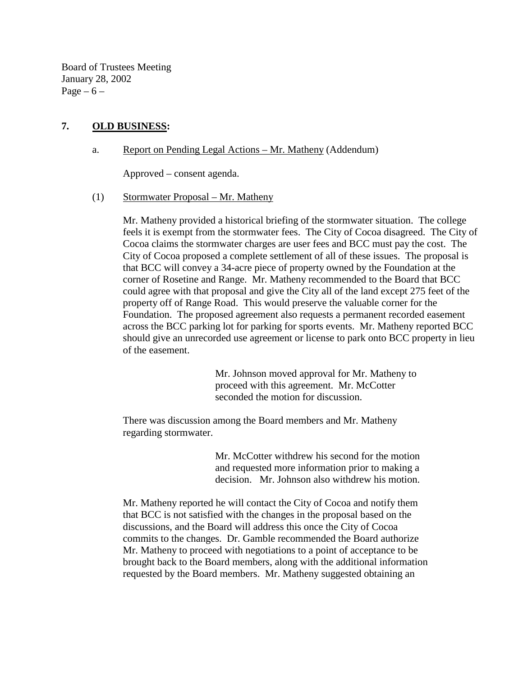Board of Trustees Meeting January 28, 2002 Page  $-6$  –

### **7. OLD BUSINESS:**

### a. Report on Pending Legal Actions – Mr. Matheny (Addendum)

Approved – consent agenda.

#### (1) Stormwater Proposal – Mr. Matheny

Mr. Matheny provided a historical briefing of the stormwater situation. The college feels it is exempt from the stormwater fees. The City of Cocoa disagreed. The City of Cocoa claims the stormwater charges are user fees and BCC must pay the cost. The City of Cocoa proposed a complete settlement of all of these issues. The proposal is that BCC will convey a 34-acre piece of property owned by the Foundation at the corner of Rosetine and Range. Mr. Matheny recommended to the Board that BCC could agree with that proposal and give the City all of the land except 275 feet of the property off of Range Road. This would preserve the valuable corner for the Foundation. The proposed agreement also requests a permanent recorded easement across the BCC parking lot for parking for sports events. Mr. Matheny reported BCC should give an unrecorded use agreement or license to park onto BCC property in lieu of the easement.

> Mr. Johnson moved approval for Mr. Matheny to proceed with this agreement. Mr. McCotter seconded the motion for discussion.

There was discussion among the Board members and Mr. Matheny regarding stormwater.

> Mr. McCotter withdrew his second for the motion and requested more information prior to making a decision. Mr. Johnson also withdrew his motion.

Mr. Matheny reported he will contact the City of Cocoa and notify them that BCC is not satisfied with the changes in the proposal based on the discussions, and the Board will address this once the City of Cocoa commits to the changes. Dr. Gamble recommended the Board authorize Mr. Matheny to proceed with negotiations to a point of acceptance to be brought back to the Board members, along with the additional information requested by the Board members. Mr. Matheny suggested obtaining an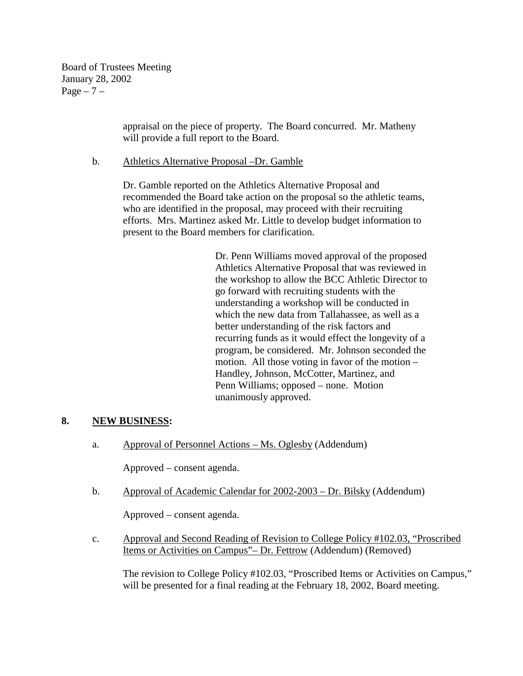Board of Trustees Meeting January 28, 2002  $Page - 7 -$ 

> appraisal on the piece of property. The Board concurred. Mr. Matheny will provide a full report to the Board.

b. Athletics Alternative Proposal –Dr. Gamble

Dr. Gamble reported on the Athletics Alternative Proposal and recommended the Board take action on the proposal so the athletic teams, who are identified in the proposal, may proceed with their recruiting efforts. Mrs. Martinez asked Mr. Little to develop budget information to present to the Board members for clarification.

> Dr. Penn Williams moved approval of the proposed Athletics Alternative Proposal that was reviewed in the workshop to allow the BCC Athletic Director to go forward with recruiting students with the understanding a workshop will be conducted in which the new data from Tallahassee, as well as a better understanding of the risk factors and recurring funds as it would effect the longevity of a program, be considered. Mr. Johnson seconded the motion. All those voting in favor of the motion – Handley, Johnson, McCotter, Martinez, and Penn Williams; opposed – none. Motion unanimously approved.

### **8. NEW BUSINESS:**

a. Approval of Personnel Actions – Ms. Oglesby (Addendum)

Approved – consent agenda.

b. Approval of Academic Calendar for 2002-2003 – Dr. Bilsky (Addendum)

Approved – consent agenda.

c. Approval and Second Reading of Revision to College Policy #102.03, "Proscribed Items or Activities on Campus"– Dr. Fettrow (Addendum) (Removed)

The revision to College Policy #102.03, "Proscribed Items or Activities on Campus," will be presented for a final reading at the February 18, 2002, Board meeting.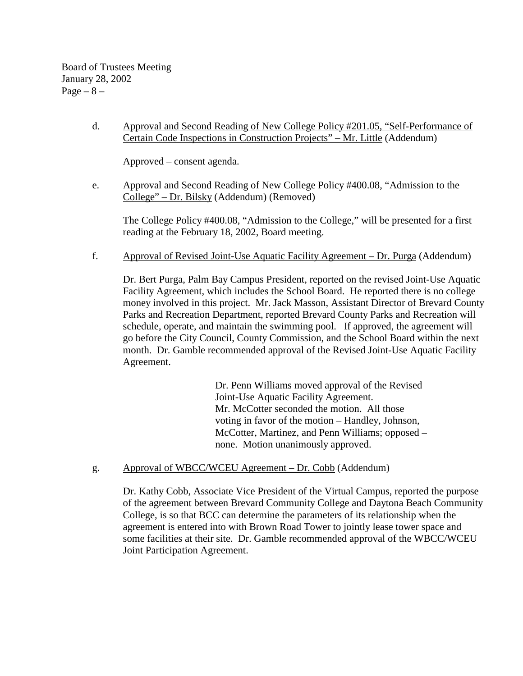## d. Approval and Second Reading of New College Policy #201.05, "Self-Performance of Certain Code Inspections in Construction Projects" – Mr. Little (Addendum)

Approved – consent agenda.

e. Approval and Second Reading of New College Policy #400.08, "Admission to the College" – Dr. Bilsky (Addendum) (Removed)

 The College Policy #400.08, "Admission to the College," will be presented for a first reading at the February 18, 2002, Board meeting.

f. Approval of Revised Joint-Use Aquatic Facility Agreement – Dr. Purga (Addendum)

Dr. Bert Purga, Palm Bay Campus President, reported on the revised Joint-Use Aquatic Facility Agreement, which includes the School Board. He reported there is no college money involved in this project. Mr. Jack Masson, Assistant Director of Brevard County Parks and Recreation Department, reported Brevard County Parks and Recreation will schedule, operate, and maintain the swimming pool. If approved, the agreement will go before the City Council, County Commission, and the School Board within the next month. Dr. Gamble recommended approval of the Revised Joint-Use Aquatic Facility Agreement.

> Dr. Penn Williams moved approval of the Revised Joint-Use Aquatic Facility Agreement. Mr. McCotter seconded the motion. All those voting in favor of the motion – Handley, Johnson, McCotter, Martinez, and Penn Williams; opposed – none. Motion unanimously approved.

g. Approval of WBCC/WCEU Agreement – Dr. Cobb (Addendum)

Dr. Kathy Cobb, Associate Vice President of the Virtual Campus, reported the purpose of the agreement between Brevard Community College and Daytona Beach Community College, is so that BCC can determine the parameters of its relationship when the agreement is entered into with Brown Road Tower to jointly lease tower space and some facilities at their site. Dr. Gamble recommended approval of the WBCC/WCEU Joint Participation Agreement.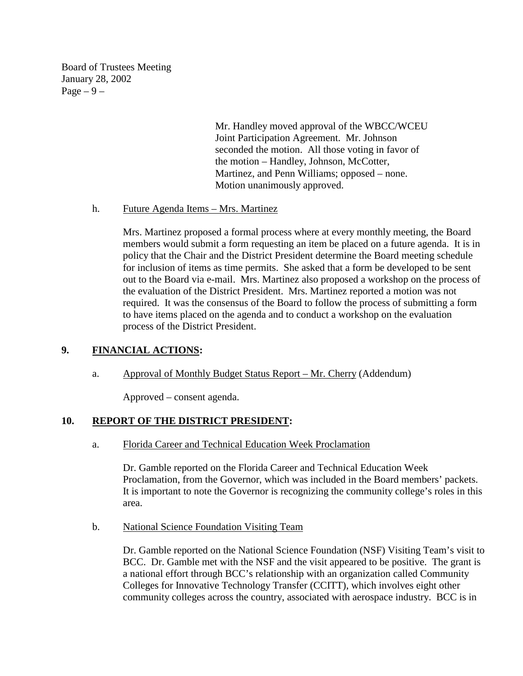Board of Trustees Meeting January 28, 2002 Page  $-9-$ 

> Mr. Handley moved approval of the WBCC/WCEU Joint Participation Agreement. Mr. Johnson seconded the motion. All those voting in favor of the motion – Handley, Johnson, McCotter, Martinez, and Penn Williams; opposed – none. Motion unanimously approved.

### h. Future Agenda Items – Mrs. Martinez

 Mrs. Martinez proposed a formal process where at every monthly meeting, the Board members would submit a form requesting an item be placed on a future agenda. It is in policy that the Chair and the District President determine the Board meeting schedule for inclusion of items as time permits. She asked that a form be developed to be sent out to the Board via e-mail. Mrs. Martinez also proposed a workshop on the process of the evaluation of the District President. Mrs. Martinez reported a motion was not required. It was the consensus of the Board to follow the process of submitting a form to have items placed on the agenda and to conduct a workshop on the evaluation process of the District President.

### **9. FINANCIAL ACTIONS:**

a. Approval of Monthly Budget Status Report – Mr. Cherry (Addendum)

Approved – consent agenda.

### **10. REPORT OF THE DISTRICT PRESIDENT:**

a. Florida Career and Technical Education Week Proclamation

Dr. Gamble reported on the Florida Career and Technical Education Week Proclamation, from the Governor, which was included in the Board members' packets. It is important to note the Governor is recognizing the community college's roles in this area.

b. National Science Foundation Visiting Team

Dr. Gamble reported on the National Science Foundation (NSF) Visiting Team's visit to BCC. Dr. Gamble met with the NSF and the visit appeared to be positive. The grant is a national effort through BCC's relationship with an organization called Community Colleges for Innovative Technology Transfer (CCITT), which involves eight other community colleges across the country, associated with aerospace industry. BCC is in